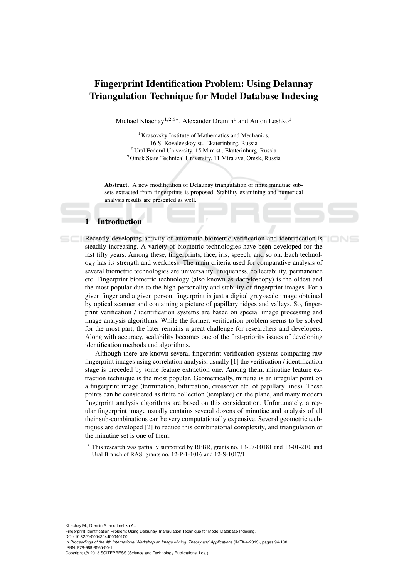# Fingerprint Identification Problem: Using Delaunay Triangulation Technique for Model Database Indexing

Michael Khachay<sup>1,2,3\*</sup>, Alexander Dremin<sup>1</sup> and Anton Leshko<sup>1</sup>

Krasovsky Institute of Mathematics and Mechanics, 16 S. Kovalevskoy st., Ekaterinburg, Russia Ural Federal University, 15 Mira st., Ekaterinburg, Russia Omsk State Technical University, 11 Mira ave, Omsk, Russia

Abstract. A new modification of Delaunay triangulation of finite minutiae subsets extracted from fingerprints is proposed. Stability examining and numerical analysis results are presented as well.

## **Introduction**

**EXECUTE:** Recently developing activity of automatic biometric verification and identification is steadily increasing. A variety of biometric technologies have been developed for the last fifty years. Among these, fingerprints, face, iris, speech, and so on. Each technology has its strength and weakness. The main criteria used for comparative analysis of several biometric technologies are universality, uniqueness, collectability, permanence etc. Fingerprint biometric technology (also known as dactyloscopy) is the oldest and the most popular due to the high personality and stability of fingerprint images. For a given finger and a given person, fingerprint is just a digital gray-scale image obtained by optical scanner and containing a picture of papillary ridges and valleys. So, fingerprint verification / identification systems are based on special image processing and image analysis algorithms. While the former, verification problem seems to be solved for the most part, the later remains a great challenge for researchers and developers. Along with accuracy, scalability becomes one of the first-priority issues of developing identification methods and algorithms.

Although there are known several fingerprint verification systems comparing raw fingerprint images using correlation analysis, usually [1] the verification / identification stage is preceded by some feature extraction one. Among them, minutiae feature extraction technique is the most popular. Geometrically, minutia is an irregular point on a fingerprint image (termination, bifurcation, crossover etc. of papillary lines). These points can be considered as finite collection (template) on the plane, and many modern fingerprint analysis algorithms are based on this consideration. Unfortunately, a regular fingerprint image usually contains several dozens of minutiae and analysis of all their sub-combinations can be very computationally expensive. Several geometric techniques are developed [2] to reduce this combinatorial complexity, and triangulation of the minutiae set is one of them.

Khachay M., Dremin A. and Leshko A.. Fingerprint Identification Problem: Using Delaunay Triangulation Technique for Model Database Indexing DOI: 10.5220/0004394400940100 In *Proceedings of the 4th International Workshop on Image Mining. Theory and Applications* (IMTA-4-2013), pages 94-100 ISBN: 978-989-8565-50-1 Copyright (C) 2013 SCITEPRESS (Science and Technology Publications, Lda.)

<sup>?</sup> This research was partially supported by RFBR, grants no. 13-07-00181 and 13-01-210, and Ural Branch of RAS, grants no. 12-P-1-1016 and 12-S-1017/1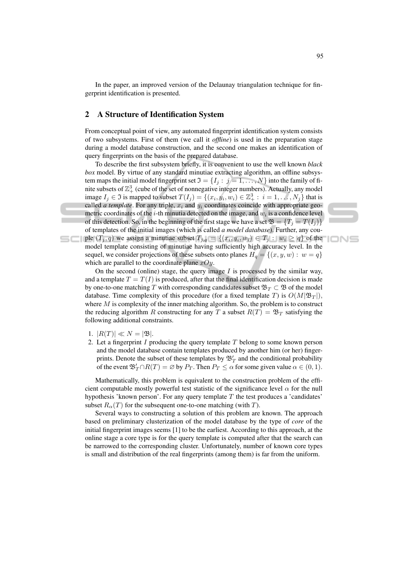In the paper, an improved version of the Delaunay triangulation technique for fingerprint identification is presented.

## 2 A Structure of Identification System

From conceptual point of view, any automated fingerprint identification system consists of two subsystems. First of them (we call it *offline*) is used in the preparation stage during a model database construction, and the second one makes an identification of query fingerprints on the basis of the prepared database.

To describe the first subsystem briefly, it is convenient to use the well known *black box* model. By virtue of any standard minutiae extracting algorithm, an offline subsystem maps the initial model fingerprint set  $\mathfrak{I} = \{I_j : j = 1, \ldots, N\}$  into the family of finite subsets of  $\mathbb{Z}_+^3$  (cube of the set of nonnegative integer numbers). Actually, any model image  $I_j \in \mathfrak{I}$  is mapped to subset  $T(I_j) = \{(x_i, y_i, w_i) \in \mathbb{Z}_+^3 : i = 1, \ldots, N_j\}$  that is called *a template*. For any triple,  $x_i$  and  $y_i$  coordinates coincide with appropriate geometric coordinates of the *i*-th minutia detected on the image, and  $w_i$  is a confidence level of this detection. So, in the beginning of the first stage we have a set  $\mathfrak{B} = \{T_i = T(I_i)\}\$ of templates of the initial images (which is called *a model database*). Further, any couple  $(T_j, q)$  we assign a minutiae subset  $T_{j,q} = \{(x_i, y_i, w_i) \in T_j : w_i \ge q\}$  of the model template consisting of minutiae having sufficiently high accuracy level. In the sequel, we consider projections of these subsets onto planes  $H_q = \{(x, y, w) : w = q\}$ which are parallel to the coordinate plane  $xOy$ .

IONS

On the second (online) stage, the query image  $I$  is processed by the similar way, and a template  $T = T(I)$  is produced, after that the final identification decision is made by one-to-one matching T with corresponding candidates subset  $\mathfrak{B}_T \subset \mathfrak{B}$  of the model database. Time complexity of this procedure (for a fixed template T) is  $O(M|\mathfrak{B}_T|)$ , where  $M$  is complexity of the inner matching algorithm. So, the problem is to construct the reducing algorithm R constructing for any T a subset  $R(T) = \mathfrak{B}_T$  satisfying the following additional constraints.

- 1.  $|R(T)| \ll N = |\mathfrak{B}|.$
- 2. Let a fingerprint  $I$  producing the query template  $T$  belong to some known person and the model database contain templates produced by another him (or her) fingerprints. Denote the subset of these templates by  $\mathfrak{B}_{T}^{\prime}$  and the conditional probability of the event  $\mathfrak{B}'_T \cap R(T) = \emptyset$  by  $P_T$ . Then  $P_T \leq \alpha$  for some given value  $\alpha \in (0,1)$ .

Mathematically, this problem is equivalent to the construction problem of the efficient computable mostly powerful test statistic of the significance level  $\alpha$  for the null hypothesis 'known person'. For any query template  $T$  the test produces a 'candidates' subset  $R_{\alpha}(T)$  for the subsequent one-to-one matching (with T).

Several ways to constructing a solution of this problem are known. The approach based on preliminary clusterization of the model database by the type of *core* of the initial fingerprint images seems [1] to be the earliest. According to this approach, at the online stage a core type is for the query template is computed after that the search can be narrowed to the corresponding cluster. Unfortunately, number of known core types is small and distribution of the real fingerprints (among them) is far from the uniform.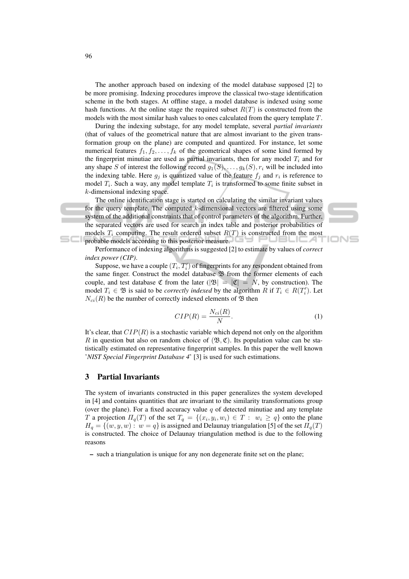The another approach based on indexing of the model database supposed [2] to be more promising. Indexing procedures improve the classical two-stage identification scheme in the both stages. At offline stage, a model database is indexed using some hash functions. At the online stage the required subset  $R(T)$  is constructed from the models with the most similar hash values to ones calculated from the query template T.

During the indexing substage, for any model template, several *partial invariants* (that of values of the geometrical nature that are almost invariant to the given transformation group on the plane) are computed and quantized. For instance, let some numerical features  $f_1, f_2, \ldots, f_k$  of the geometrical shapes of some kind formed by the fingerprint minutiae are used as partial invariants, then for any model  $T_i$  and for any shape S of interest the following record  $g_1(S), \ldots, g_k(S), r_i$  will be included into the indexing table. Here  $g_j$  is quantized value of the feature  $f_j$  and  $r_i$  is reference to model  $T_i$ . Such a way, any model template  $T_i$  is transformed to some finite subset in k-dimensional indexing space.

The online identification stage is started on calculating the similar invariant values for the query template. The computed  $k$ -dimensional vectors are filtered using some system of the additional constraints that of control parameters of the algorithm. Further, the separated vectors are used for search in index table and posterior probabilities of models  $T_i$  computing. The result ordered subset  $R(T)$  is constructed from the most probable models according to this posterior measure. J 23 L I L

Performance of indexing algorithms is suggested [2] to estimate by values of *correct index power (CIP)*.

Suppose, we have a couple  $(T_i, T'_i)$  of fingerprints for any respondent obtained from the same finger. Construct the model database  $\mathfrak B$  from the former elements of each couple, and test database  $\mathfrak C$  from the later  $(|\mathfrak B| = |\mathfrak C| = N$ , by construction). The model  $T_i \in \mathfrak{B}$  is said to be *correctly indexed* by the algorithm R if  $T_i \in R(T_i')$ . Let  $N_{ci}(R)$  be the number of correctly indexed elements of  $\mathfrak B$  then

$$
CIP(R) = \frac{N_{ci}(R)}{N}.
$$
\n(1)

ION⊆

It's clear, that  $CIP(R)$  is a stochastic variable which depend not only on the algorithm R in question but also on random choice of  $(\mathfrak{B}, \mathfrak{C})$ . Its population value can be statistically estimated on representative fingerprint samples. In this paper the well known '*NIST Special Fingerprint Database 4*' [3] is used for such estimations.

## 3 Partial Invariants

The system of invariants constructed in this paper generalizes the system developed in [4] and contains quantities that are invariant to the similarity transformations group (over the plane). For a fixed accuracy value  $q$  of detected minutiae and any template T a projection  $\Pi_q(T)$  of the set  $T_q = \{(x_i, y_i, w_i) \in T : w_i \ge q\}$  onto the plane  $H<sub>q</sub> = \{(w, y, w): w = q\}$  is assigned and Delaunay triangulation [5] of the set  $\Pi<sub>q</sub>(T)$ is constructed. The choice of Delaunay triangulation method is due to the following reasons

– such a triangulation is unique for any non degenerate finite set on the plane;

5C I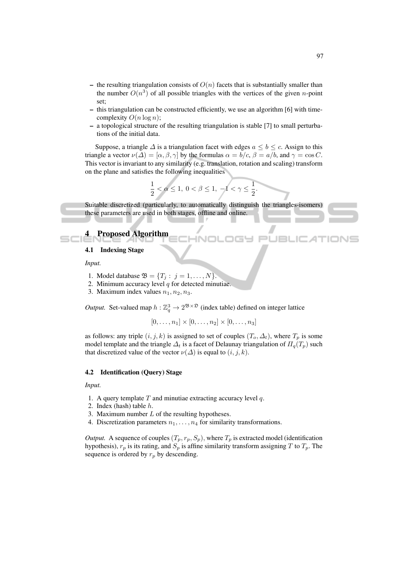- the resulting triangulation consists of  $O(n)$  facets that is substantially smaller than the number  $O(n^3)$  of all possible triangles with the vertices of the given *n*-point set;
- this triangulation can be constructed efficiently, we use an algorithm [6] with timecomplexity  $O(n \log n)$ :
- a topological structure of the resulting triangulation is stable [7] to small perturbations of the initial data.

Suppose, a triangle  $\Delta$  is a triangulation facet with edges  $a \leq b \leq c$ . Assign to this triangle a vector  $\nu(\Delta) = [\alpha, \beta, \gamma]$  by the formulas  $\alpha = b/c$ ,  $\beta = a/b$ , and  $\gamma = \cos C$ . This vector is invariant to any similarity (e.g. translation, rotation and scaling) transform on the plane and satisfies the following inequalities

$$
\frac{1}{2} < \alpha \leq 1, \ 0 < \beta \leq 1, \ -1 < \gamma \leq \frac{1}{2}.
$$

Suitable discretized (particularly, to automatically distinguish the triangles-isomers) these parameters are used in both stages, offline and online.

## Proposed Algorithm

#### 4.1 Indexing Stage

*Input.*

- 1. Model database  $\mathfrak{B} = \{T_i : j = 1, ..., N\}.$
- 2. Minimum accuracy level  $q$  for detected minutiae.
- 3. Maximum index values  $n_1, n_2, n_3$ .

*Output.* Set-valued map  $h : \mathbb{Z}_q^3 \to 2^{\mathfrak{B} \times \mathfrak{D}}$  (index table) defined on integer lattice

 $[0, \ldots, n_1] \times [0, \ldots, n_2] \times [0, \ldots, n_3]$ 

as follows: any triple  $(i, j, k)$  is assigned to set of couples  $(T_o, \Delta_t)$ , where  $T_p$  is some model template and the triangle  $\Delta_t$  is a facet of Delaunay triangulation of  $\Pi_q(T_p)$  such that discretized value of the vector  $\nu(\Delta)$  is equal to  $(i, j, k)$ .

### 4.2 Identification (Query) Stage

*Input.*

- 1. A query template  $T$  and minutiae extracting accuracy level  $q$ .
- 2. Index (hash) table h.
- 3. Maximum number  $L$  of the resulting hypotheses.
- 4. Discretization parameters  $n_1, \ldots, n_4$  for similarity transformations.

*Output.* A sequence of couples  $(T_p, r_p, S_p)$ , where  $T_p$  is extracted model (identification hypothesis),  $r_p$  is its rating, and  $S_p$  is affine similarity transform assigning T to  $T_p$ . The sequence is ordered by  $r_p$  by descending.

 $\Box$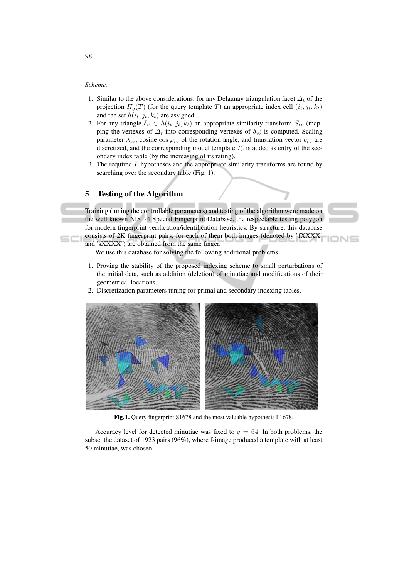#### *Scheme.*

- 1. Similar to the above considerations, for any Delaunay triangulation facet  $\Delta_t$  of the projection  $\Pi_q(T)$  (for the query template T) an appropriate index cell  $(i_t, j_t, k_t)$ and the set  $h(i_t, j_t, k_t)$  are assigned.
- 2. For any triangle  $\delta_v \in h(i_t, j_t, k_t)$  an appropriate similarity transform  $S_{tv}$  (mapping the vertexes of  $\Delta_t$  into corresponding vertexes of  $\delta_v$ ) is computed. Scaling parameter  $\lambda_{tv}$ , cosine cos  $\varphi_{tv}$  of the rotation angle, and translation vector  $b_{tv}$  are discretized, and the corresponding model template  $T<sub>v</sub>$  is added as entry of the secondary index table (by the increasing of its rating).
- 3. The required  $L$  hypotheses and the appropriate similarity transforms are found by searching over the secondary table (Fig. 1).

## 5 Testing of the Algorithm

Training (tuning the controllable parameters) and testing of the algorithm were made on the well known NIST-4 Special Fingerprint Database, the respectable testing polygon for modern fingerprint verification/identification heuristics. By structure, this database consists of 2K fingerprint pairs, for each of them both images (denoted by 'fXXXX'

and 'sXXXX') are obtained from the same finger.

We use this database for solving the following additional problems.

- 1. Proving the stability of the proposed indexing scheme to small perturbations of the initial data, such as addition (deletion) of minutiae and modifications of their geometrical locations.
- 2. Discretization parameters tuning for primal and secondary indexing tables.



Fig. 1. Query fingerprint S1678 and the most valuable hypothesis F1678.

Accuracy level for detected minutiae was fixed to  $q = 64$ . In both problems, the subset the dataset of 1923 pairs (96%), where f-image produced a template with at least 50 minutiae, was chosen.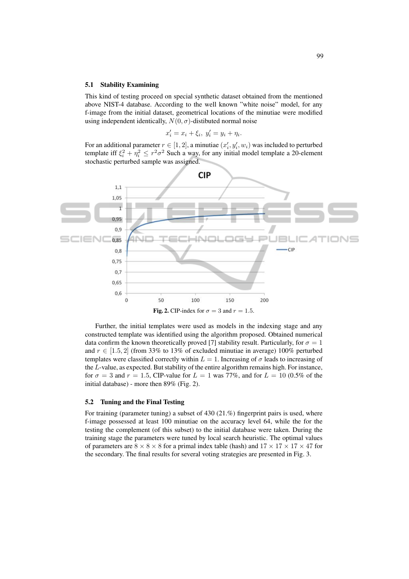#### 5.1 Stability Examining

This kind of testing proceed on special synthetic dataset obtained from the mentioned above NIST-4 database. According to the well known "white noise" model, for any f-image from the initial dataset, geometrical locations of the minutiae were modified using independent identically,  $N(0, \sigma)$ -distibuted normal noise

$$
x'_i = x_i + \xi_i, \ y'_i = y_i + \eta_i.
$$

For an additional parameter  $r \in [1, 2]$ , a minutiae  $(x'_i, y'_i, w_i)$  was included to perturbed template iff  $\xi_i^2 + \eta_i^2 \le r^2 \sigma^2$  Such a way, for any initial model template a 20-element stochastic perturbed sample was assigned.



Further, the initial templates were used as models in the indexing stage and any constructed template was identified using the algorithm proposed. Obtained numerical data confirm the known theoretically proved [7] stability result. Particularly, for  $\sigma = 1$ and  $r \in [1.5, 2]$  (from 33% to 13% of excluded minutiae in average) 100% perturbed templates were classified correctly within  $L = 1$ . Increasing of  $\sigma$  leads to increasing of the L-value, as expected. But stability of the entire algorithm remains high. For instance, for  $\sigma = 3$  and  $r = 1.5$ , CIP-value for  $L = 1$  was 77%, and for  $L = 10$  (0.5% of the initial database) - more then 89% (Fig. 2).

## 5.2 Tuning and the Final Testing

For training (parameter tuning) a subset of 430 (21.%) fingerprint pairs is used, where f-image possessed at least 100 minutiae on the accuracy level 64, while the for the testing the complement (of this subset) to the initial database were taken. During the training stage the parameters were tuned by local search heuristic. The optimal values of parameters are  $8 \times 8 \times 8$  for a primal index table (hash) and  $17 \times 17 \times 17 \times 47$  for the secondary. The final results for several voting strategies are presented in Fig. 3.